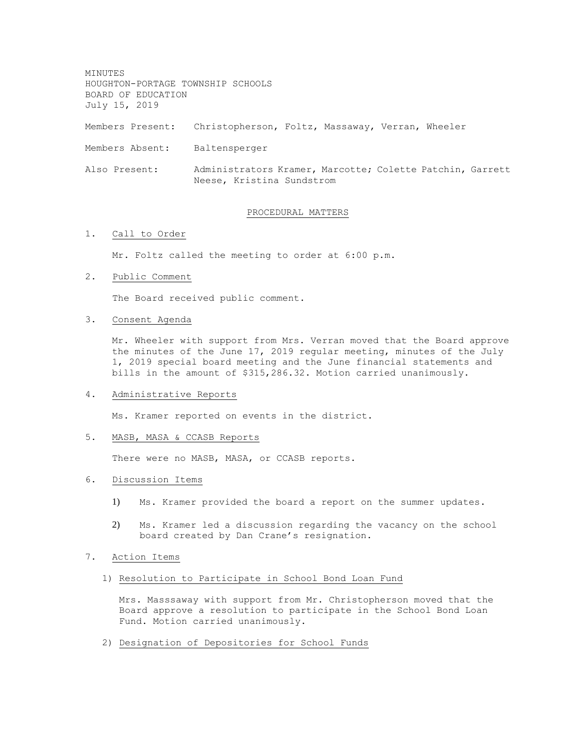MINUTES HOUGHTON-PORTAGE TOWNSHIP SCHOOLS BOARD OF EDUCATION July 15, 2019 Members Present: Christopherson, Foltz, Massaway, Verran, Wheeler Members Absent: Baltensperger Also Present: Administrators Kramer, Marcotte; Colette Patchin, Garrett Neese, Kristina Sundstrom

# PROCEDURAL MATTERS

## 1. Call to Order

Mr. Foltz called the meeting to order at 6:00 p.m.

2. Public Comment

The Board received public comment.

3. Consent Agenda

Mr. Wheeler with support from Mrs. Verran moved that the Board approve the minutes of the June 17, 2019 regular meeting, minutes of the July 1, 2019 special board meeting and the June financial statements and bills in the amount of \$315,286.32. Motion carried unanimously.

#### 4. Administrative Reports

Ms. Kramer reported on events in the district.

#### 5. MASB, MASA & CCASB Reports

There were no MASB, MASA, or CCASB reports.

- 6. Discussion Items
	- 1) Ms. Kramer provided the board a report on the summer updates.
	- 2) Ms. Kramer led a discussion regarding the vacancy on the school board created by Dan Crane's resignation.

### 7. Action Items

1) Resolution to Participate in School Bond Loan Fund

Mrs. Masssaway with support from Mr. Christopherson moved that the Board approve a resolution to participate in the School Bond Loan Fund. Motion carried unanimously.

2) Designation of Depositories for School Funds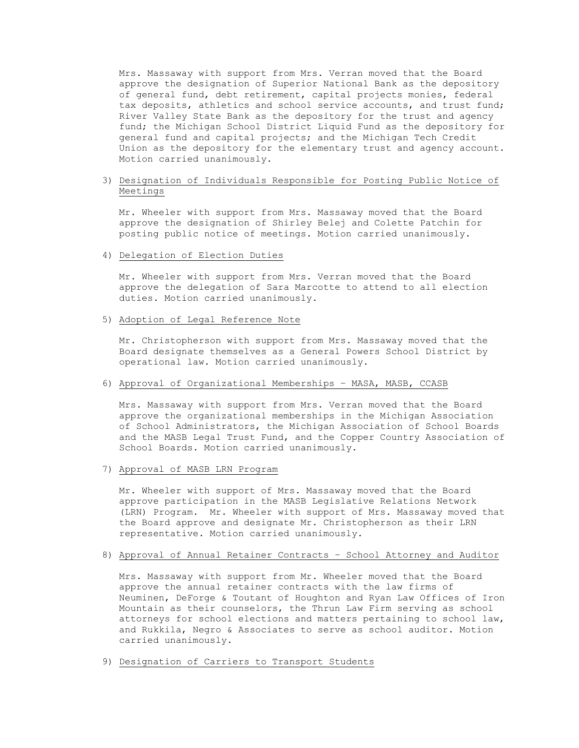Mrs. Massaway with support from Mrs. Verran moved that the Board approve the designation of Superior National Bank as the depository of general fund, debt retirement, capital projects monies, federal tax deposits, athletics and school service accounts, and trust fund; River Valley State Bank as the depository for the trust and agency fund; the Michigan School District Liquid Fund as the depository for general fund and capital projects; and the Michigan Tech Credit Union as the depository for the elementary trust and agency account. Motion carried unanimously.

# 3) Designation of Individuals Responsible for Posting Public Notice of Meetings

Mr. Wheeler with support from Mrs. Massaway moved that the Board approve the designation of Shirley Belej and Colette Patchin for posting public notice of meetings. Motion carried unanimously.

# 4) Delegation of Election Duties

Mr. Wheeler with support from Mrs. Verran moved that the Board approve the delegation of Sara Marcotte to attend to all election duties. Motion carried unanimously.

## 5) Adoption of Legal Reference Note

Mr. Christopherson with support from Mrs. Massaway moved that the Board designate themselves as a General Powers School District by operational law. Motion carried unanimously.

#### 6) Approval of Organizational Memberships – MASA, MASB, CCASB

Mrs. Massaway with support from Mrs. Verran moved that the Board approve the organizational memberships in the Michigan Association of School Administrators, the Michigan Association of School Boards and the MASB Legal Trust Fund, and the Copper Country Association of School Boards. Motion carried unanimously.

## 7) Approval of MASB LRN Program

Mr. Wheeler with support of Mrs. Massaway moved that the Board approve participation in the MASB Legislative Relations Network (LRN) Program. Mr. Wheeler with support of Mrs. Massaway moved that the Board approve and designate Mr. Christopherson as their LRN representative. Motion carried unanimously.

# 8) Approval of Annual Retainer Contracts – School Attorney and Auditor

Mrs. Massaway with support from Mr. Wheeler moved that the Board approve the annual retainer contracts with the law firms of Neuminen, DeForge & Toutant of Houghton and Ryan Law Offices of Iron Mountain as their counselors, the Thrun Law Firm serving as school attorneys for school elections and matters pertaining to school law, and Rukkila, Negro & Associates to serve as school auditor. Motion carried unanimously.

9) Designation of Carriers to Transport Students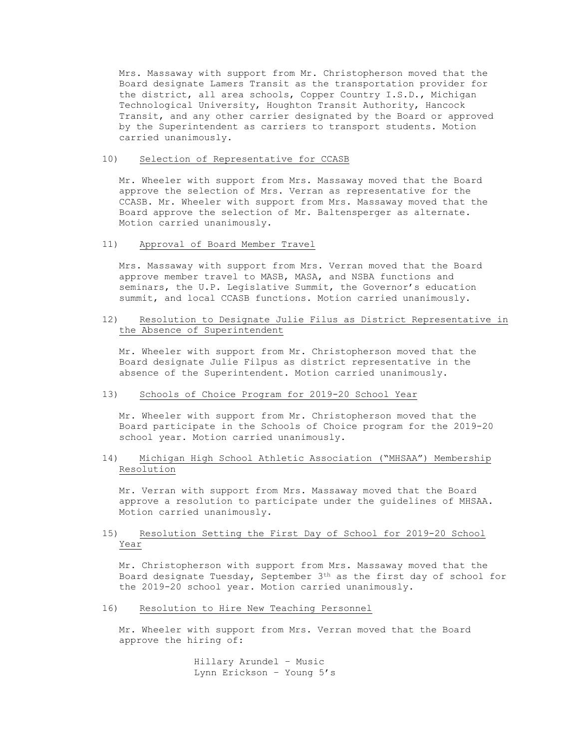Mrs. Massaway with support from Mr. Christopherson moved that the Board designate Lamers Transit as the transportation provider for the district, all area schools, Copper Country I.S.D., Michigan Technological University, Houghton Transit Authority, Hancock Transit, and any other carrier designated by the Board or approved by the Superintendent as carriers to transport students. Motion carried unanimously.

## 10) Selection of Representative for CCASB

Mr. Wheeler with support from Mrs. Massaway moved that the Board approve the selection of Mrs. Verran as representative for the CCASB. Mr. Wheeler with support from Mrs. Massaway moved that the Board approve the selection of Mr. Baltensperger as alternate. Motion carried unanimously.

## 11) Approval of Board Member Travel

Mrs. Massaway with support from Mrs. Verran moved that the Board approve member travel to MASB, MASA, and NSBA functions and seminars, the U.P. Legislative Summit, the Governor's education summit, and local CCASB functions. Motion carried unanimously.

# 12) Resolution to Designate Julie Filus as District Representative in the Absence of Superintendent

Mr. Wheeler with support from Mr. Christopherson moved that the Board designate Julie Filpus as district representative in the absence of the Superintendent. Motion carried unanimously.

# 13) Schools of Choice Program for 2019-20 School Year

Mr. Wheeler with support from Mr. Christopherson moved that the Board participate in the Schools of Choice program for the 2019-20 school year. Motion carried unanimously.

# 14) Michigan High School Athletic Association ("MHSAA") Membership Resolution

Mr. Verran with support from Mrs. Massaway moved that the Board approve a resolution to participate under the guidelines of MHSAA. Motion carried unanimously.

# 15) Resolution Setting the First Day of School for 2019-20 School Year

Mr. Christopherson with support from Mrs. Massaway moved that the Board designate Tuesday, September 3th as the first day of school for the 2019-20 school year. Motion carried unanimously.

## 16) Resolution to Hire New Teaching Personnel

Mr. Wheeler with support from Mrs. Verran moved that the Board approve the hiring of:

> Hillary Arundel – Music Lynn Erickson – Young 5's